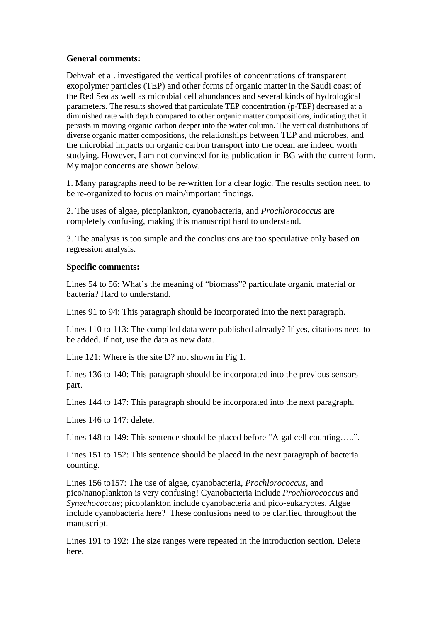## **General comments:**

Dehwah et al. investigated the vertical profiles of concentrations of transparent exopolymer particles (TEP) and other forms of organic matter in the Saudi coast of the Red Sea as well as microbial cell abundances and several kinds of hydrological parameters. The results showed that particulate TEP concentration (p-TEP) decreased at a diminished rate with depth compared to other organic matter compositions, indicating that it persists in moving organic carbon deeper into the water column. The vertical distributions of diverse organic matter compositions, the relationships between TEP and microbes, and the microbial impacts on organic carbon transport into the ocean are indeed worth studying. However, I am not convinced for its publication in BG with the current form. My major concerns are shown below.

1. Many paragraphs need to be re-written for a clear logic. The results section need to be re-organized to focus on main/important findings.

2. The uses of algae, picoplankton, cyanobacteria, and *Prochlorococcus* are completely confusing, making this manuscript hard to understand.

3. The analysis is too simple and the conclusions are too speculative only based on regression analysis.

## **Specific comments:**

Lines 54 to 56: What's the meaning of "biomass"? particulate organic material or bacteria? Hard to understand.

Lines 91 to 94: This paragraph should be incorporated into the next paragraph.

Lines 110 to 113: The compiled data were published already? If yes, citations need to be added. If not, use the data as new data.

Line 121: Where is the site D? not shown in Fig 1.

Lines 136 to 140: This paragraph should be incorporated into the previous sensors part.

Lines 144 to 147: This paragraph should be incorporated into the next paragraph.

Lines 146 to 147: delete.

Lines 148 to 149: This sentence should be placed before "Algal cell counting.....".

Lines 151 to 152: This sentence should be placed in the next paragraph of bacteria counting.

Lines 156 to157: The use of algae, cyanobacteria, *Prochlorococcus*, and pico/nanoplankton is very confusing! Cyanobacteria include *Prochlorococcus* and *Synechococcus*; picoplankton include cyanobacteria and pico-eukaryotes. Algae include cyanobacteria here? These confusions need to be clarified throughout the manuscript.

Lines 191 to 192: The size ranges were repeated in the introduction section. Delete here.